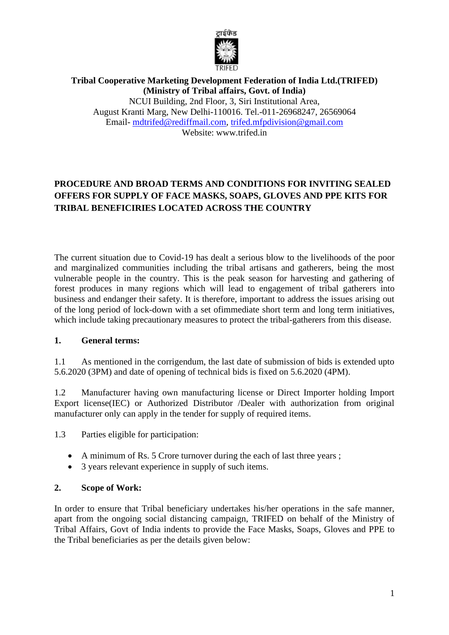

#### **Tribal Cooperative Marketing Development Federation of India Ltd.(TRIFED) (Ministry of Tribal affairs, Govt. of India)**  NCUI Building, 2nd Floor, 3, Siri Institutional Area, August Kranti Marg, New Delhi-110016. Tel.-011-26968247, 26569064 Email- [mdtrifed@rediffmail.com,](mailto:mdtrifed@rediffmail.com) [trifed.mfpdivision@gmail.com](mailto:trifed.mfpdivision@gmail.com) Website: www.trifed.in

## **PROCEDURE AND BROAD TERMS AND CONDITIONS FOR INVITING SEALED OFFERS FOR SUPPLY OF FACE MASKS, SOAPS, GLOVES AND PPE KITS FOR TRIBAL BENEFICIRIES LOCATED ACROSS THE COUNTRY**

The current situation due to Covid-19 has dealt a serious blow to the livelihoods of the poor and marginalized communities including the tribal artisans and gatherers, being the most vulnerable people in the country. This is the peak season for harvesting and gathering of forest produces in many regions which will lead to engagement of tribal gatherers into business and endanger their safety. It is therefore, important to address the issues arising out of the long period of lock-down with a set ofimmediate short term and long term initiatives, which include taking precautionary measures to protect the tribal-gatherers from this disease.

## **1. General terms:**

1.1 As mentioned in the corrigendum, the last date of submission of bids is extended upto 5.6.2020 (3PM) and date of opening of technical bids is fixed on 5.6.2020 (4PM).

1.2 Manufacturer having own manufacturing license or Direct Importer holding Import Export license(IEC) or Authorized Distributor /Dealer with authorization from original manufacturer only can apply in the tender for supply of required items.

1.3 Parties eligible for participation:

- A minimum of Rs. 5 Crore turnover during the each of last three years;
- 3 years relevant experience in supply of such items.

## **2. Scope of Work:**

In order to ensure that Tribal beneficiary undertakes his/her operations in the safe manner, apart from the ongoing social distancing campaign, TRIFED on behalf of the Ministry of Tribal Affairs, Govt of India indents to provide the Face Masks, Soaps, Gloves and PPE to the Tribal beneficiaries as per the details given below: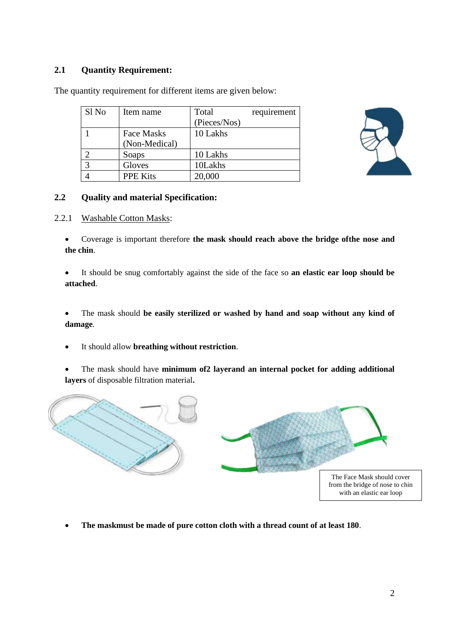## **2.1 Quantity Requirement:**

| Sl <sub>No</sub> | Item name         | Total        | requirement |
|------------------|-------------------|--------------|-------------|
|                  |                   | (Pieces/Nos) |             |
|                  | <b>Face Masks</b> | 10 Lakhs     |             |
|                  | (Non-Medical)     |              |             |
|                  | Soaps             | 10 Lakhs     |             |
| $\mathbf{z}$     | Gloves            | 10Lakhs      |             |
|                  | <b>PPE Kits</b>   | 20,000       |             |



The quantity requirement for different items are given below:

## **2.2 Quality and material Specification:**

2.2.1 Washable Cotton Masks:

• Coverage is important therefore **the mask should reach above the bridge ofthe nose and the chin**.

• It should be snug comfortably against the side of the face so **an elastic ear loop should be attached**.

• The mask should **be easily sterilized or washed by hand and soap without any kind of damage**.

• It should allow **breathing without restriction**.

• The mask should have **minimum of2 layerand an internal pocket for adding additional layers** of disposable filtration material**.**



• **The maskmust be made of pure cotton cloth with a thread count of at least 180**.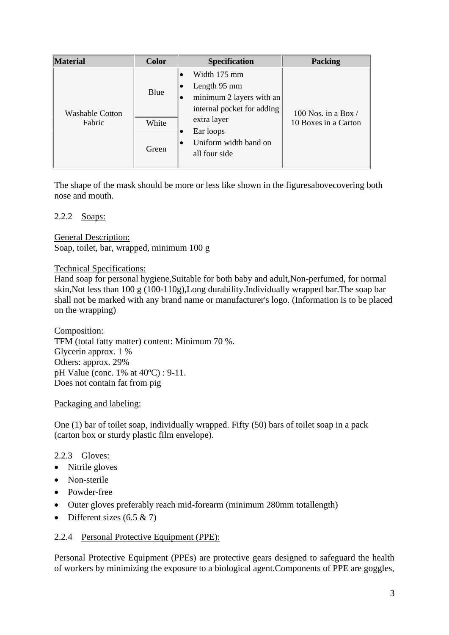| <b>Material</b>                  | <b>Color</b>           | <b>Specification</b>                                                                                                                                               | <b>Packing</b>                                |
|----------------------------------|------------------------|--------------------------------------------------------------------------------------------------------------------------------------------------------------------|-----------------------------------------------|
| <b>Washable Cotton</b><br>Fabric | Blue<br>White<br>Green | Width 175 mm<br>Length 95 mm<br>minimum 2 layers with an<br>internal pocket for adding<br>extra layer<br>Ear loops<br>Uniform width band on<br>lO<br>all four side | 100 Nos. in a Box $/$<br>10 Boxes in a Carton |

The shape of the mask should be more or less like shown in the figuresabovecovering both nose and mouth.

#### 2.2.2 Soaps:

General Description:

Soap, toilet, bar, wrapped, minimum 100 g

#### Technical Specifications:

Hand soap for personal hygiene,Suitable for both baby and adult,Non-perfumed, for normal skin,Not less than 100 g (100-110g),Long durability.Individually wrapped bar.The soap bar shall not be marked with any brand name or manufacturer's logo. (Information is to be placed on the wrapping)

Composition: TFM (total fatty matter) content: Minimum 70 %. Glycerin approx. 1 % Others: approx. 29% pH Value (conc. 1% at 40ºC) : 9-11. Does not contain fat from pig

## Packaging and labeling:

One (1) bar of toilet soap, individually wrapped. Fifty (50) bars of toilet soap in a pack (carton box or sturdy plastic film envelope).

## 2.2.3 Gloves:

- Nitrile gloves
- Non-sterile
- Powder-free
- Outer gloves preferably reach mid-forearm (minimum 280mm totallength)
- Different sizes  $(6.5 \& 7)$

## 2.2.4 Personal Protective Equipment (PPE):

Personal Protective Equipment (PPEs) are protective gears designed to safeguard the health of workers by minimizing the exposure to a biological agent.Components of PPE are goggles,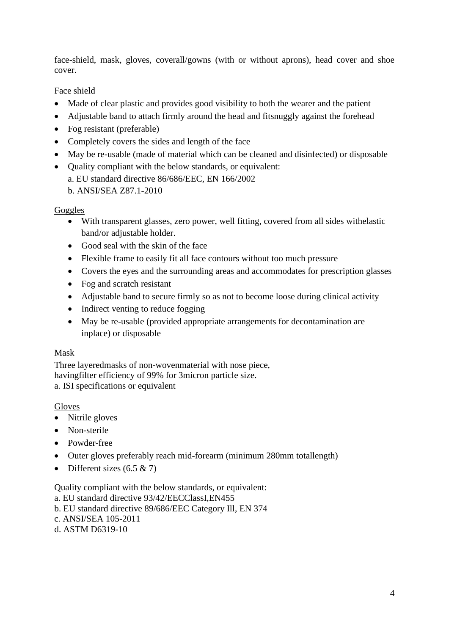face-shield, mask, gloves, coverall/gowns (with or without aprons), head cover and shoe cover.

## Face shield

- Made of clear plastic and provides good visibility to both the wearer and the patient
- Adjustable band to attach firmly around the head and fitsnuggly against the forehead
- Fog resistant (preferable)
- Completely covers the sides and length of the face
- May be re-usable (made of material which can be cleaned and disinfected) or disposable
- Ouality compliant with the below standards, or equivalent: a. EU standard directive 86/686/EEC, EN 166/2002
	- b. ANSI/SEA Z87.1-2010

## Goggles

- With transparent glasses, zero power, well fitting, covered from all sides withelastic band/or adjustable holder.
- Good seal with the skin of the face
- Flexible frame to easily fit all face contours without too much pressure
- Covers the eyes and the surrounding areas and accommodates for prescription glasses
- Fog and scratch resistant
- Adjustable band to secure firmly so as not to become loose during clinical activity
- Indirect venting to reduce fogging
- May be re-usable (provided appropriate arrangements for decontamination are inplace) or disposable

## Mask

Three layeredmasks of non-wovenmaterial with nose piece, havingfilter efficiency of 99% for 3micron particle size. a. ISI specifications or equivalent

## Gloves

- Nitrile gloves
- Non-sterile
- Powder-free
- Outer gloves preferably reach mid-forearm (minimum 280mm totallength)
- Different sizes  $(6.5 \& 7)$

Quality compliant with the below standards, or equivalent:

a. EU standard directive 93/42/EECClassI,EN455

b. EU standard directive 89/686/EEC Category Ill, EN 374

- c. ANSI/SEA 105-2011
- d. ASTM D6319-10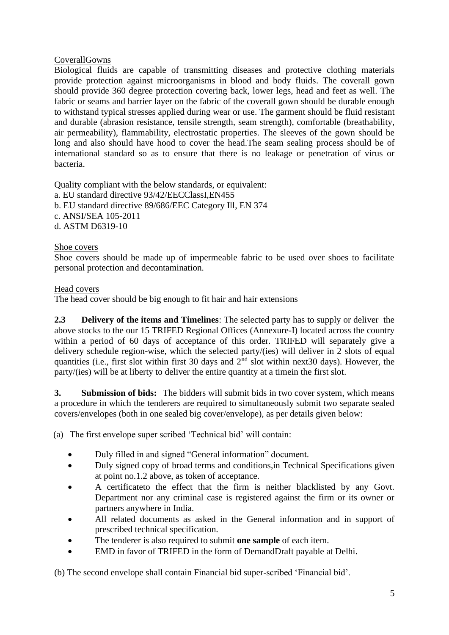## CoverallGowns

Biological fluids are capable of transmitting diseases and protective clothing materials provide protection against microorganisms in blood and body fluids. The coverall gown should provide 360 degree protection covering back, lower legs, head and feet as well. The fabric or seams and barrier layer on the fabric of the coverall gown should be durable enough to withstand typical stresses applied during wear or use. The garment should be fluid resistant and durable (abrasion resistance, tensile strength, seam strength), comfortable (breathability, air permeability), flammability, electrostatic properties. The sleeves of the gown should be long and also should have hood to cover the head.The seam sealing process should be of international standard so as to ensure that there is no leakage or penetration of virus or bacteria.

Quality compliant with the below standards, or equivalent: a. EU standard directive 93/42/EECClassI,EN455 b. EU standard directive 89/686/EEC Category Ill, EN 374 c. ANSI/SEA 105-2011 d. ASTM D6319-10

## Shoe covers

Shoe covers should be made up of impermeable fabric to be used over shoes to facilitate personal protection and decontamination.

## Head covers

The head cover should be big enough to fit hair and hair extensions

**2.3 Delivery of the items and Timelines**: The selected party has to supply or deliver the above stocks to the our 15 TRIFED Regional Offices (Annexure-I) located across the country within a period of 60 days of acceptance of this order. TRIFED will separately give a delivery schedule region-wise, which the selected party/(ies) will deliver in 2 slots of equal quantities (i.e., first slot within first 30 days and  $2<sup>nd</sup>$  slot within next30 days). However, the party/(ies) will be at liberty to deliver the entire quantity at a timein the first slot.

**3. Submission of bids:** The bidders will submit bids in two cover system, which means a procedure in which the tenderers are required to simultaneously submit two separate sealed covers/envelopes (both in one sealed big cover/envelope), as per details given below:

(a) The first envelope super scribed 'Technical bid' will contain:

- Duly filled in and signed "General information" document.
- Duly signed copy of broad terms and conditions, in Technical Specifications given at point no.1.2 above, as token of acceptance.
- A certificateto the effect that the firm is neither blacklisted by any Govt. Department nor any criminal case is registered against the firm or its owner or partners anywhere in India.
- All related documents as asked in the General information and in support of prescribed technical specification.
- The tenderer is also required to submit **one sample** of each item.
- EMD in favor of TRIFED in the form of DemandDraft payable at Delhi.

(b) The second envelope shall contain Financial bid super-scribed 'Financial bid'.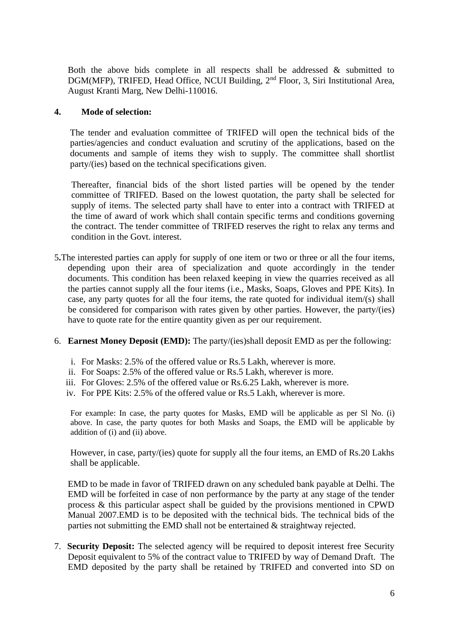Both the above bids complete in all respects shall be addressed  $\&$  submitted to DGM(MFP), TRIFED, Head Office, NCUI Building, 2<sup>nd</sup> Floor, 3, Siri Institutional Area, August Kranti Marg, New Delhi-110016.

#### **4. Mode of selection:**

The tender and evaluation committee of TRIFED will open the technical bids of the parties/agencies and conduct evaluation and scrutiny of the applications, based on the documents and sample of items they wish to supply. The committee shall shortlist party/(ies) based on the technical specifications given.

Thereafter, financial bids of the short listed parties will be opened by the tender committee of TRIFED. Based on the lowest quotation, the party shall be selected for supply of items. The selected party shall have to enter into a contract with TRIFED at the time of award of work which shall contain specific terms and conditions governing the contract. The tender committee of TRIFED reserves the right to relax any terms and condition in the Govt. interest.

5**.**The interested parties can apply for supply of one item or two or three or all the four items, depending upon their area of specialization and quote accordingly in the tender documents. This condition has been relaxed keeping in view the quarries received as all the parties cannot supply all the four items (i.e., Masks, Soaps, Gloves and PPE Kits). In case, any party quotes for all the four items, the rate quoted for individual item/(s) shall be considered for comparison with rates given by other parties. However, the party/(ies) have to quote rate for the entire quantity given as per our requirement.

#### 6. **Earnest Money Deposit (EMD):** The party/(ies)shall deposit EMD as per the following:

- i. For Masks: 2.5% of the offered value or Rs.5 Lakh, wherever is more.
- ii. For Soaps: 2.5% of the offered value or Rs.5 Lakh, wherever is more.
- iii. For Gloves: 2.5% of the offered value or Rs.6.25 Lakh, wherever is more.
- iv. For PPE Kits: 2.5% of the offered value or Rs.5 Lakh, wherever is more.

For example: In case, the party quotes for Masks, EMD will be applicable as per Sl No. (i) above. In case, the party quotes for both Masks and Soaps, the EMD will be applicable by addition of (i) and (ii) above.

However, in case, party/(ies) quote for supply all the four items, an EMD of Rs.20 Lakhs shall be applicable.

EMD to be made in favor of TRIFED drawn on any scheduled bank payable at Delhi. The EMD will be forfeited in case of non performance by the party at any stage of the tender process & this particular aspect shall be guided by the provisions mentioned in CPWD Manual 2007.EMD is to be deposited with the technical bids. The technical bids of the parties not submitting the EMD shall not be entertained & straightway rejected.

7. **Security Deposit:** The selected agency will be required to deposit interest free Security Deposit equivalent to 5% of the contract value to TRIFED by way of Demand Draft. The EMD deposited by the party shall be retained by TRIFED and converted into SD on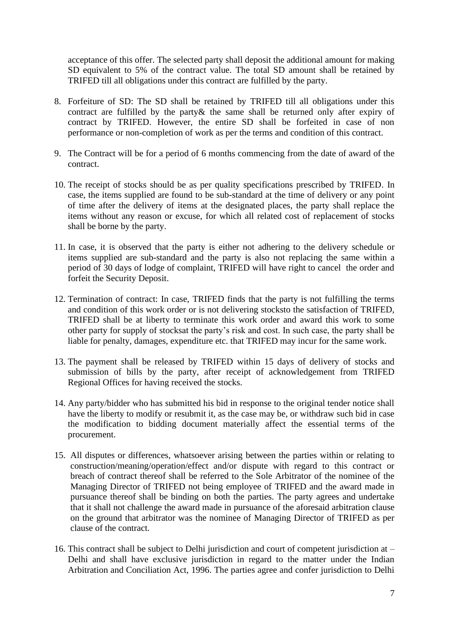acceptance of this offer. The selected party shall deposit the additional amount for making SD equivalent to 5% of the contract value. The total SD amount shall be retained by TRIFED till all obligations under this contract are fulfilled by the party.

- 8. Forfeiture of SD: The SD shall be retained by TRIFED till all obligations under this contract are fulfilled by the party& the same shall be returned only after expiry of contract by TRIFED. However, the entire SD shall be forfeited in case of non performance or non-completion of work as per the terms and condition of this contract.
- 9. The Contract will be for a period of 6 months commencing from the date of award of the contract.
- 10. The receipt of stocks should be as per quality specifications prescribed by TRIFED. In case, the items supplied are found to be sub-standard at the time of delivery or any point of time after the delivery of items at the designated places, the party shall replace the items without any reason or excuse, for which all related cost of replacement of stocks shall be borne by the party.
- 11. In case, it is observed that the party is either not adhering to the delivery schedule or items supplied are sub-standard and the party is also not replacing the same within a period of 30 days of lodge of complaint, TRIFED will have right to cancel the order and forfeit the Security Deposit.
- 12. Termination of contract: In case, TRIFED finds that the party is not fulfilling the terms and condition of this work order or is not delivering stocksto the satisfaction of TRIFED, TRIFED shall be at liberty to terminate this work order and award this work to some other party for supply of stocksat the party's risk and cost. In such case, the party shall be liable for penalty, damages, expenditure etc. that TRIFED may incur for the same work.
- 13. The payment shall be released by TRIFED within 15 days of delivery of stocks and submission of bills by the party, after receipt of acknowledgement from TRIFED Regional Offices for having received the stocks.
- 14. Any party/bidder who has submitted his bid in response to the original tender notice shall have the liberty to modify or resubmit it, as the case may be, or withdraw such bid in case the modification to bidding document materially affect the essential terms of the procurement.
- 15. All disputes or differences, whatsoever arising between the parties within or relating to construction/meaning/operation/effect and/or dispute with regard to this contract or breach of contract thereof shall be referred to the Sole Arbitrator of the nominee of the Managing Director of TRIFED not being employee of TRIFED and the award made in pursuance thereof shall be binding on both the parties. The party agrees and undertake that it shall not challenge the award made in pursuance of the aforesaid arbitration clause on the ground that arbitrator was the nominee of Managing Director of TRIFED as per clause of the contract.
- 16. This contract shall be subject to Delhi jurisdiction and court of competent jurisdiction at Delhi and shall have exclusive jurisdiction in regard to the matter under the Indian Arbitration and Conciliation Act, 1996. The parties agree and confer jurisdiction to Delhi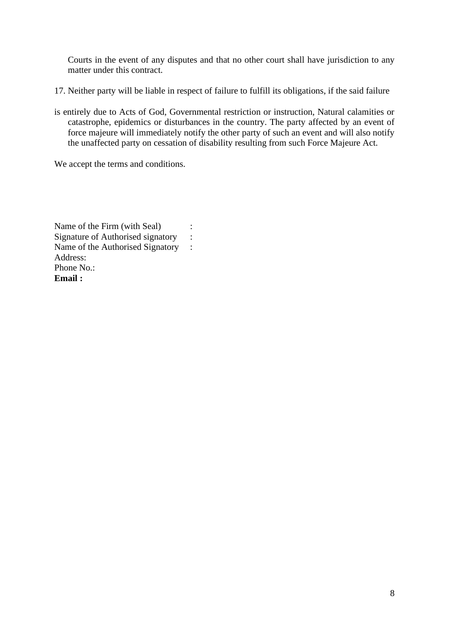Courts in the event of any disputes and that no other court shall have jurisdiction to any matter under this contract.

- 17. Neither party will be liable in respect of failure to fulfill its obligations, if the said failure
- is entirely due to Acts of God, Governmental restriction or instruction, Natural calamities or catastrophe, epidemics or disturbances in the country. The party affected by an event of force majeure will immediately notify the other party of such an event and will also notify the unaffected party on cessation of disability resulting from such Force Majeure Act.

We accept the terms and conditions.

Name of the Firm (with Seal) : Signature of Authorised signatory : Name of the Authorised Signatory : Address: Phone No.: **Email :**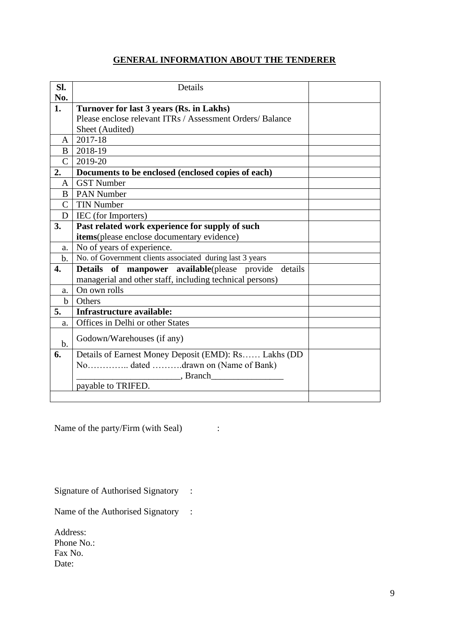## **GENERAL INFORMATION ABOUT THE TENDERER**

| Sl.            | Details                                                               |  |
|----------------|-----------------------------------------------------------------------|--|
| No.            |                                                                       |  |
| 1.             | Turnover for last 3 years (Rs. in Lakhs)                              |  |
|                | Please enclose relevant ITRs / Assessment Orders/ Balance             |  |
|                | Sheet (Audited)                                                       |  |
| A              | 2017-18                                                               |  |
| B              | 2018-19                                                               |  |
| $\mathcal{C}$  | 2019-20                                                               |  |
| 2.             | Documents to be enclosed (enclosed copies of each)                    |  |
| A              | <b>GST Number</b>                                                     |  |
| B              | <b>PAN Number</b>                                                     |  |
| $\overline{C}$ | <b>TIN Number</b>                                                     |  |
| D              | IEC (for Importers)                                                   |  |
| 3.             | Past related work experience for supply of such                       |  |
|                | items(please enclose documentary evidence)                            |  |
| a.             | No of years of experience.                                            |  |
| $\mathbf{b}$ . | No. of Government clients associated during last $\overline{3}$ years |  |
| 4.             | Details of manpower available(please provide details                  |  |
|                | managerial and other staff, including technical persons)              |  |
| a.             | On own rolls                                                          |  |
| $b$            | Others                                                                |  |
| 5.             | Infrastructure available:                                             |  |
| a.             | Offices in Delhi or other States                                      |  |
| $b$ .          | Godown/Warehouses (if any)                                            |  |
| 6.             | Details of Earnest Money Deposit (EMD): Rs Lakhs (DD)                 |  |
|                | No dated drawn on (Name of Bank)                                      |  |
|                | , Branch                                                              |  |
|                | payable to TRIFED.                                                    |  |
|                |                                                                       |  |

Name of the party/Firm (with Seal) :

Signature of Authorised Signatory :

Name of the Authorised Signatory :

Address: Phone No.: Fax No. Date: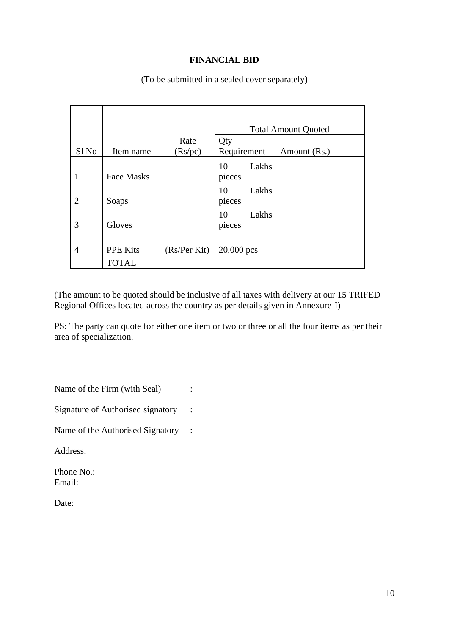## **FINANCIAL BID**

|                  |                   |              | <b>Total Amount Quoted</b> |              |
|------------------|-------------------|--------------|----------------------------|--------------|
| Sl <sub>No</sub> | Item name         | Rate         | Qty<br>Requirement         |              |
|                  |                   | (Rs/pc)      |                            | Amount (Rs.) |
|                  |                   |              | Lakhs<br>10                |              |
|                  | <b>Face Masks</b> |              | pieces                     |              |
| $\overline{2}$   | Soaps             |              | Lakhs<br>10<br>pieces      |              |
| 3                | Gloves            |              | Lakhs<br>10<br>pieces      |              |
| 4                | <b>PPE Kits</b>   | (Rs/Per Kit) | 20,000 pcs                 |              |
|                  | <b>TOTAL</b>      |              |                            |              |

(To be submitted in a sealed cover separately)

(The amount to be quoted should be inclusive of all taxes with delivery at our 15 TRIFED Regional Offices located across the country as per details given in Annexure-I)

PS: The party can quote for either one item or two or three or all the four items as per their area of specialization.

Name of the Firm (with Seal) :

Signature of Authorised signatory :

Name of the Authorised Signatory :

Address:

Phone No.: Email:

Date: